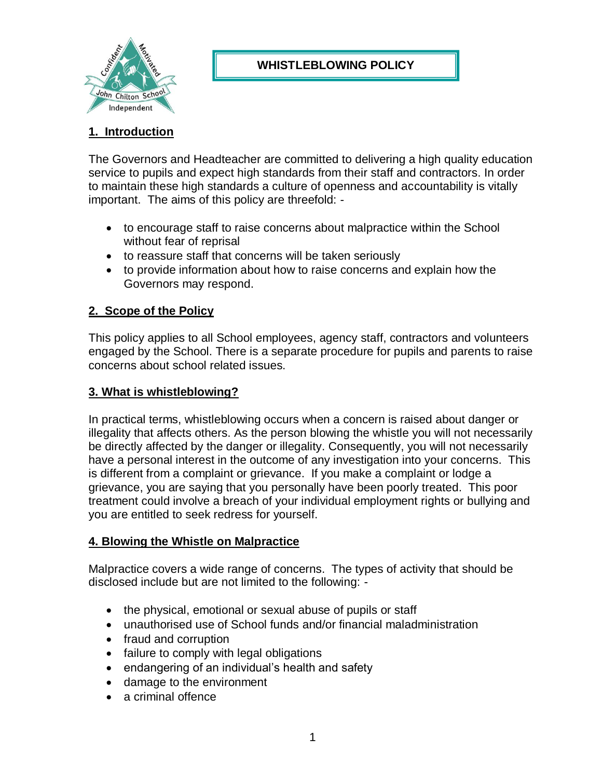

# **WHISTLEBLOWING POLICY**

# **1. Introduction**

The Governors and Headteacher are committed to delivering a high quality education service to pupils and expect high standards from their staff and contractors. In order to maintain these high standards a culture of openness and accountability is vitally important. The aims of this policy are threefold: -

- to encourage staff to raise concerns about malpractice within the School without fear of reprisal
- to reassure staff that concerns will be taken seriously
- to provide information about how to raise concerns and explain how the Governors may respond.

# **2. Scope of the Policy**

This policy applies to all School employees, agency staff, contractors and volunteers engaged by the School. There is a separate procedure for pupils and parents to raise concerns about school related issues.

### **3. What is whistleblowing?**

In practical terms, whistleblowing occurs when a concern is raised about danger or illegality that affects others. As the person blowing the whistle you will not necessarily be directly affected by the danger or illegality. Consequently, you will not necessarily have a personal interest in the outcome of any investigation into your concerns. This is different from a complaint or grievance. If you make a complaint or lodge a grievance, you are saying that you personally have been poorly treated. This poor treatment could involve a breach of your individual employment rights or bullying and you are entitled to seek redress for yourself.

#### **4. Blowing the Whistle on Malpractice**

Malpractice covers a wide range of concerns. The types of activity that should be disclosed include but are not limited to the following: -

- the physical, emotional or sexual abuse of pupils or staff
- unauthorised use of School funds and/or financial maladministration
- fraud and corruption
- failure to comply with legal obligations
- endangering of an individual's health and safety
- damage to the environment
- a criminal offence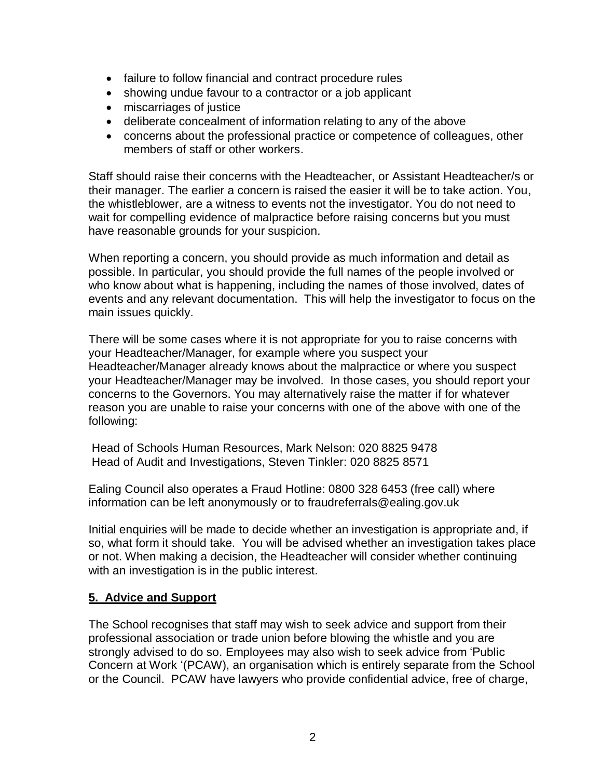- failure to follow financial and contract procedure rules
- showing undue favour to a contractor or a job applicant
- miscarriages of justice
- deliberate concealment of information relating to any of the above
- concerns about the professional practice or competence of colleagues, other members of staff or other workers.

Staff should raise their concerns with the Headteacher, or Assistant Headteacher/s or their manager. The earlier a concern is raised the easier it will be to take action. You, the whistleblower, are a witness to events not the investigator. You do not need to wait for compelling evidence of malpractice before raising concerns but you must have reasonable grounds for your suspicion.

When reporting a concern, you should provide as much information and detail as possible. In particular, you should provide the full names of the people involved or who know about what is happening, including the names of those involved, dates of events and any relevant documentation. This will help the investigator to focus on the main issues quickly.

There will be some cases where it is not appropriate for you to raise concerns with your Headteacher/Manager, for example where you suspect your Headteacher/Manager already knows about the malpractice or where you suspect your Headteacher/Manager may be involved. In those cases, you should report your concerns to the Governors. You may alternatively raise the matter if for whatever reason you are unable to raise your concerns with one of the above with one of the following:

Head of Schools Human Resources, Mark Nelson: 020 8825 9478 Head of Audit and Investigations, Steven Tinkler: 020 8825 8571

Ealing Council also operates a Fraud Hotline: 0800 328 6453 (free call) where information can be left anonymously or to fraudreferrals@ealing.gov.uk

Initial enquiries will be made to decide whether an investigation is appropriate and, if so, what form it should take. You will be advised whether an investigation takes place or not. When making a decision, the Headteacher will consider whether continuing with an investigation is in the public interest.

## **5. Advice and Support**

The School recognises that staff may wish to seek advice and support from their professional association or trade union before blowing the whistle and you are strongly advised to do so. Employees may also wish to seek advice from 'Public Concern at Work '(PCAW), an organisation which is entirely separate from the School or the Council. PCAW have lawyers who provide confidential advice, free of charge,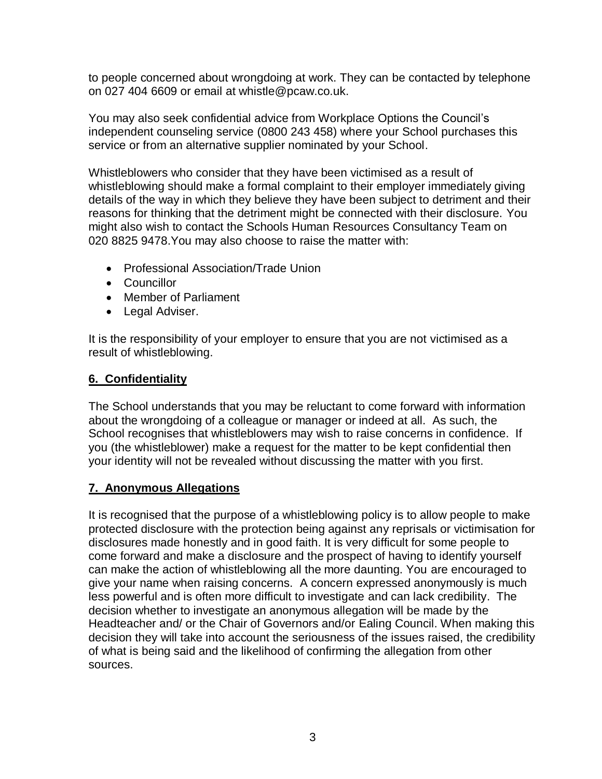to people concerned about wrongdoing at work. They can be contacted by telephone on 027 404 6609 or email at whistle@pcaw.co.uk.

You may also seek confidential advice from Workplace Options the Council's independent counseling service (0800 243 458) where your School purchases this service or from an alternative supplier nominated by your School.

Whistleblowers who consider that they have been victimised as a result of whistleblowing should make a formal complaint to their employer immediately giving details of the way in which they believe they have been subject to detriment and their reasons for thinking that the detriment might be connected with their disclosure. You might also wish to contact the Schools Human Resources Consultancy Team on 020 8825 9478.You may also choose to raise the matter with:

- Professional Association/Trade Union
- Councillor
- Member of Parliament
- Legal Adviser.

It is the responsibility of your employer to ensure that you are not victimised as a result of whistleblowing.

### **6. Confidentiality**

The School understands that you may be reluctant to come forward with information about the wrongdoing of a colleague or manager or indeed at all. As such, the School recognises that whistleblowers may wish to raise concerns in confidence. If you (the whistleblower) make a request for the matter to be kept confidential then your identity will not be revealed without discussing the matter with you first.

#### **7. Anonymous Allegations**

It is recognised that the purpose of a whistleblowing policy is to allow people to make protected disclosure with the protection being against any reprisals or victimisation for disclosures made honestly and in good faith. It is very difficult for some people to come forward and make a disclosure and the prospect of having to identify yourself can make the action of whistleblowing all the more daunting. You are encouraged to give your name when raising concerns. A concern expressed anonymously is much less powerful and is often more difficult to investigate and can lack credibility. The decision whether to investigate an anonymous allegation will be made by the Headteacher and/ or the Chair of Governors and/or Ealing Council. When making this decision they will take into account the seriousness of the issues raised, the credibility of what is being said and the likelihood of confirming the allegation from other sources.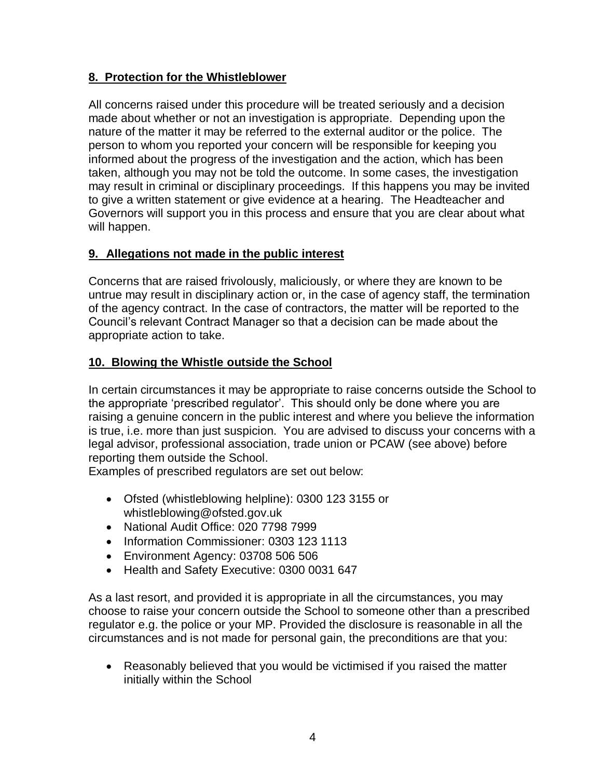# **8. Protection for the Whistleblower**

All concerns raised under this procedure will be treated seriously and a decision made about whether or not an investigation is appropriate. Depending upon the nature of the matter it may be referred to the external auditor or the police. The person to whom you reported your concern will be responsible for keeping you informed about the progress of the investigation and the action, which has been taken, although you may not be told the outcome. In some cases, the investigation may result in criminal or disciplinary proceedings. If this happens you may be invited to give a written statement or give evidence at a hearing. The Headteacher and Governors will support you in this process and ensure that you are clear about what will happen.

## **9. Allegations not made in the public interest**

Concerns that are raised frivolously, maliciously, or where they are known to be untrue may result in disciplinary action or, in the case of agency staff, the termination of the agency contract. In the case of contractors, the matter will be reported to the Council's relevant Contract Manager so that a decision can be made about the appropriate action to take.

## **10. Blowing the Whistle outside the School**

In certain circumstances it may be appropriate to raise concerns outside the School to the appropriate 'prescribed regulator'. This should only be done where you are raising a genuine concern in the public interest and where you believe the information is true, i.e. more than just suspicion. You are advised to discuss your concerns with a legal advisor, professional association, trade union or PCAW (see above) before reporting them outside the School.

Examples of prescribed regulators are set out below:

- Ofsted (whistleblowing helpline): 0300 123 3155 or whistleblowing@ofsted.gov.uk
- National Audit Office: 020 7798 7999
- Information Commissioner: 0303 123 1113
- Environment Agency: 03708 506 506
- Health and Safety Executive: 0300 0031 647

As a last resort, and provided it is appropriate in all the circumstances, you may choose to raise your concern outside the School to someone other than a prescribed regulator e.g. the police or your MP. Provided the disclosure is reasonable in all the circumstances and is not made for personal gain, the preconditions are that you:

 Reasonably believed that you would be victimised if you raised the matter initially within the School